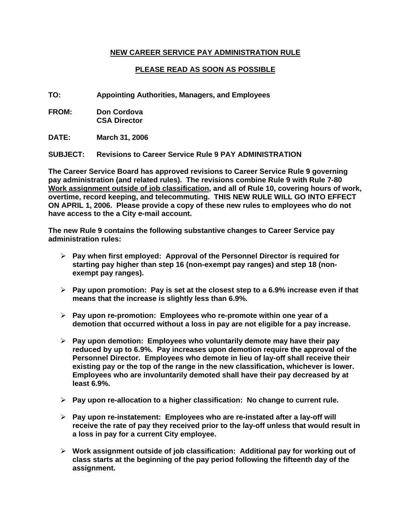# **NEW CAREER SERVICE PAY ADMINISTRATION RULE**

# **PLEASE READ AS SOON AS POSSIBLE**

**TO: Appointing Authorities, Managers, and Employees** 

**FROM: Don Cordova CSA Director** 

**DATE: March 31, 2006** 

**SUBJECT: Revisions to Career Service Rule 9 PAY ADMINISTRATION** 

**The Career Service Board has approved revisions to Career Service Rule 9 governing pay administration (and related rules). The revisions combine Rule 9 with Rule 7-80 Work assignment outside of job classification, and all of Rule 10, covering hours of work, overtime, record keeping, and telecommuting. THIS NEW RULE WILL GO INTO EFFECT ON APRIL 1, 2006. Please provide a copy of these new rules to employees who do not have access to the a City e-mail account.** 

**The new Rule 9 contains the following substantive changes to Career Service pay administration rules:** 

- ¾ **Pay when first employed: Approval of the Personnel Director is required for starting pay higher than step 16 (non-exempt pay ranges) and step 18 (nonexempt pay ranges).**
- ¾ **Pay upon promotion: Pay is set at the closest step to a 6.9% increase even if that means that the increase is slightly less than 6.9%.**
- ¾ **Pay upon re-promotion: Employees who re-promote within one year of a demotion that occurred without a loss in pay are not eligible for a pay increase.**
- ¾ **Pay upon demotion: Employees who voluntarily demote may have their pay reduced by up to 6.9%. Pay increases upon demotion require the approval of the Personnel Director. Employees who demote in lieu of lay-off shall receive their existing pay or the top of the range in the new classification, whichever is lower. Employees who are involuntarily demoted shall have their pay decreased by at least 6.9%.**
- ¾ **Pay upon re-allocation to a higher classification: No change to current rule.**
- ¾ **Pay upon re-instatement: Employees who are re-instated after a lay-off will receive the rate of pay they received prior to the lay-off unless that would result in a loss in pay for a current City employee.**
- ¾ **Work assignment outside of job classification: Additional pay for working out of class starts at the beginning of the pay period following the fifteenth day of the assignment.**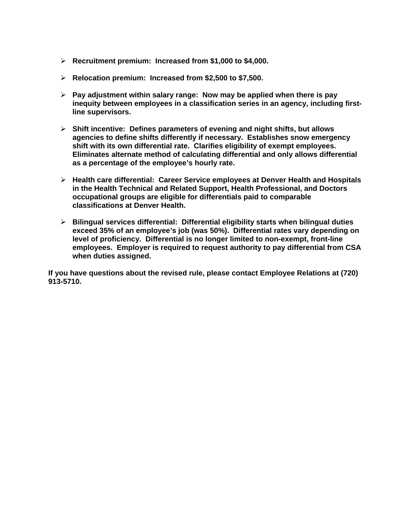- ¾ **Recruitment premium: Increased from \$1,000 to \$4,000.**
- ¾ **Relocation premium: Increased from \$2,500 to \$7,500.**
- ¾ **Pay adjustment within salary range: Now may be applied when there is pay inequity between employees in a classification series in an agency, including firstline supervisors.**
- ¾ **Shift incentive: Defines parameters of evening and night shifts, but allows agencies to define shifts differently if necessary. Establishes snow emergency shift with its own differential rate. Clarifies eligibility of exempt employees. Eliminates alternate method of calculating differential and only allows differential as a percentage of the employee's hourly rate.**
- ¾ **Health care differential: Career Service employees at Denver Health and Hospitals in the Health Technical and Related Support, Health Professional, and Doctors occupational groups are eligible for differentials paid to comparable classifications at Denver Health.**
- ¾ **Bilingual services differential: Differential eligibility starts when bilingual duties exceed 35% of an employee's job (was 50%). Differential rates vary depending on level of proficiency. Differential is no longer limited to non-exempt, front-line employees. Employer is required to request authority to pay differential from CSA when duties assigned.**

**If you have questions about the revised rule, please contact Employee Relations at (720) 913-5710.**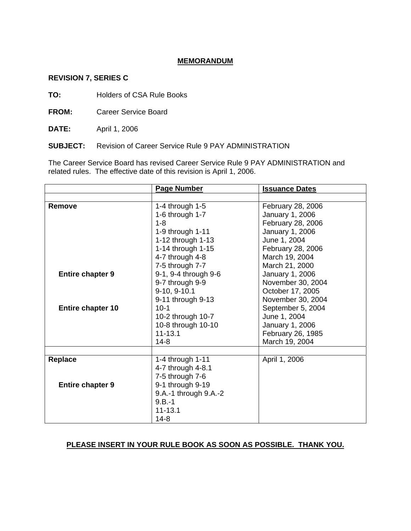## **MEMORANDUM**

## **REVISION 7, SERIES C**

**TO:** Holders of CSA Rule Books

**FROM:** Career Service Board

**DATE:** April 1, 2006

**SUBJECT:** Revision of Career Service Rule 9 PAY ADMINISTRATION

The Career Service Board has revised Career Service Rule 9 PAY ADMINISTRATION and related rules. The effective date of this revision is April 1, 2006.

|                          | <b>Page Number</b>    | <b>Issuance Dates</b> |
|--------------------------|-----------------------|-----------------------|
|                          |                       |                       |
| <b>Remove</b>            | 1-4 through $1-5$     | February 28, 2006     |
|                          | 1-6 through $1-7$     | January 1, 2006       |
|                          | $1 - 8$               | February 28, 2006     |
|                          | 1-9 through 1-11      | January 1, 2006       |
|                          | 1-12 through 1-13     | June 1, 2004          |
|                          | 1-14 through 1-15     | February 28, 2006     |
|                          | 4-7 through 4-8       | March 19, 2004        |
|                          | 7-5 through 7-7       | March 21, 2000        |
| <b>Entire chapter 9</b>  | 9-1, 9-4 through 9-6  | January 1, 2006       |
|                          | 9-7 through 9-9       | November 30, 2004     |
|                          | 9-10, 9-10.1          | October 17, 2005      |
|                          | 9-11 through 9-13     | November 30, 2004     |
| <b>Entire chapter 10</b> | $10-1$                | September 5, 2004     |
|                          | 10-2 through 10-7     | June 1, 2004          |
|                          | 10-8 through 10-10    | January 1, 2006       |
|                          | $11 - 13.1$           | February 26, 1985     |
|                          | $14 - 8$              | March 19, 2004        |
|                          |                       |                       |
| <b>Replace</b>           | 1-4 through 1-11      | April 1, 2006         |
|                          | 4-7 through 4-8.1     |                       |
|                          | 7-5 through 7-6       |                       |
| <b>Entire chapter 9</b>  | 9-1 through 9-19      |                       |
|                          | 9.A.-1 through 9.A.-2 |                       |
|                          | $9.B.-1$              |                       |
|                          | $11 - 13.1$           |                       |
|                          | $14 - 8$              |                       |

# **PLEASE INSERT IN YOUR RULE BOOK AS SOON AS POSSIBLE. THANK YOU.**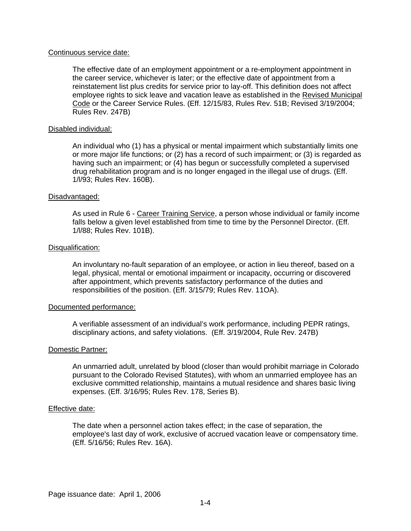### Continuous service date:

The effective date of an employment appointment or a re-employment appointment in the career service, whichever is later; or the effective date of appointment from a reinstatement list plus credits for service prior to lay-off. This definition does not affect employee rights to sick leave and vacation leave as established in the Revised Municipal Code or the Career Service Rules. (Eff. 12/15/83, Rules Rev. 51B; Revised 3/19/2004; Rules Rev. 247B)

## Disabled individual:

An individual who (1) has a physical or mental impairment which substantially limits one or more major life functions; or (2) has a record of such impairment; or (3) is regarded as having such an impairment; or (4) has begun or successfully completed a supervised drug rehabilitation program and is no longer engaged in the illegal use of drugs. (Eff. 1/l/93; Rules Rev. 160B).

## Disadvantaged:

As used in Rule 6 - Career Training Service, a person whose individual or family income falls below a given level established from time to time by the Personnel Director. (Eff. 1/l/88; Rules Rev. 101B).

## Disqualification:

An involuntary no-fault separation of an employee, or action in lieu thereof, based on a legal, physical, mental or emotional impairment or incapacity, occurring or discovered after appointment, which prevents satisfactory performance of the duties and responsibilities of the position. (Eff. 3/15/79; Rules Rev. 11OA).

## Documented performance:

A verifiable assessment of an individual's work performance, including PEPR ratings, disciplinary actions, and safety violations. (Eff. 3/19/2004, Rule Rev. 247B)

## Domestic Partner:

An unmarried adult, unrelated by blood (closer than would prohibit marriage in Colorado pursuant to the Colorado Revised Statutes), with whom an unmarried employee has an exclusive committed relationship, maintains a mutual residence and shares basic living expenses. (Eff. 3/16/95; Rules Rev. 178, Series B).

## Effective date:

The date when a personnel action takes effect; in the case of separation, the employee's last day of work, exclusive of accrued vacation leave or compensatory time. (Eff. 5/16/56; Rules Rev. 16A).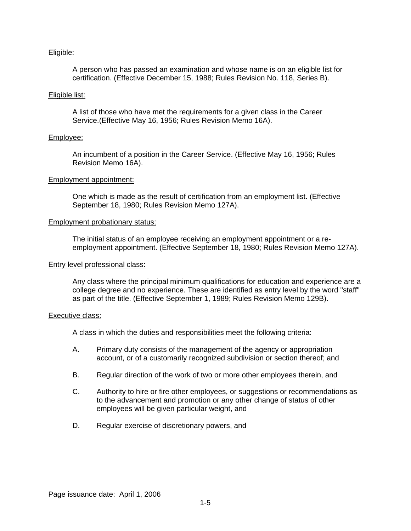## Eligible:

A person who has passed an examination and whose name is on an eligible list for certification. (Effective December 15, 1988; Rules Revision No. 118, Series B).

### Eligible list:

A list of those who have met the requirements for a given class in the Career Service.(Effective May 16, 1956; Rules Revision Memo 16A).

## Employee:

An incumbent of a position in the Career Service. (Effective May 16, 1956; Rules Revision Memo 16A).

#### Employment appointment:

One which is made as the result of certification from an employment list. (Effective September 18, 1980; Rules Revision Memo 127A).

#### Employment probationary status:

The initial status of an employee receiving an employment appointment or a reemployment appointment. (Effective September 18, 1980; Rules Revision Memo 127A).

#### Entry level professional class:

Any class where the principal minimum qualifications for education and experience are a college degree and no experience. These are identified as entry level by the word "staff" as part of the title. (Effective September 1, 1989; Rules Revision Memo 129B).

#### Executive class:

A class in which the duties and responsibilities meet the following criteria:

- A. Primary duty consists of the management of the agency or appropriation account, or of a customarily recognized subdivision or section thereof; and
- B. Regular direction of the work of two or more other employees therein, and
- C. Authority to hire or fire other employees, or suggestions or recommendations as to the advancement and promotion or any other change of status of other employees will be given particular weight, and
- D. Regular exercise of discretionary powers, and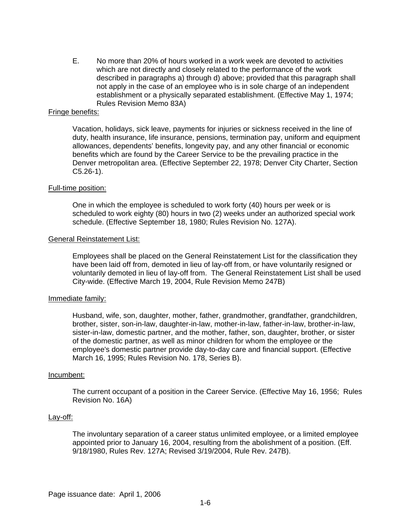E. No more than 20% of hours worked in a work week are devoted to activities which are not directly and closely related to the performance of the work described in paragraphs a) through d) above; provided that this paragraph shall not apply in the case of an employee who is in sole charge of an independent establishment or a physically separated establishment. (Effective May 1, 1974; Rules Revision Memo 83A)

### Fringe benefits:

Vacation, holidays, sick leave, payments for injuries or sickness received in the line of duty, health insurance, life insurance, pensions, termination pay, uniform and equipment allowances, dependents' benefits, longevity pay, and any other financial or economic benefits which are found by the Career Service to be the prevailing practice in the Denver metropolitan area. (Effective September 22, 1978; Denver City Charter, Section C5.26-1).

#### Full-time position:

One in which the employee is scheduled to work forty (40) hours per week or is scheduled to work eighty (80) hours in two (2) weeks under an authorized special work schedule. (Effective September 18, 1980; Rules Revision No. 127A).

#### General Reinstatement List:

Employees shall be placed on the General Reinstatement List for the classification they have been laid off from, demoted in lieu of lay-off from, or have voluntarily resigned or voluntarily demoted in lieu of lay-off from. The General Reinstatement List shall be used City-wide. (Effective March 19, 2004, Rule Revision Memo 247B)

## Immediate family:

Husband, wife, son, daughter, mother, father, grandmother, grandfather, grandchildren, brother, sister, son-in-law, daughter-in-law, mother-in-law, father-in-law, brother-in-law, sister-in-law, domestic partner, and the mother, father, son, daughter, brother, or sister of the domestic partner, as well as minor children for whom the employee or the employee's domestic partner provide day-to-day care and financial support. (Effective March 16, 1995; Rules Revision No. 178, Series B).

#### Incumbent:

The current occupant of a position in the Career Service. (Effective May 16, 1956; Rules Revision No. 16A)

#### Lay-off:

The involuntary separation of a career status unlimited employee, or a limited employee appointed prior to January 16, 2004, resulting from the abolishment of a position. (Eff. 9/18/1980, Rules Rev. 127A; Revised 3/19/2004, Rule Rev. 247B).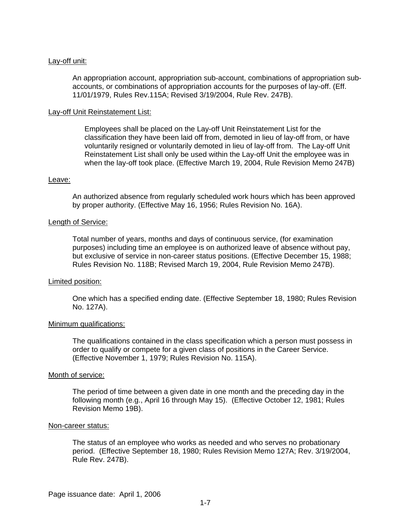## Lay-off unit:

An appropriation account, appropriation sub-account, combinations of appropriation subaccounts, or combinations of appropriation accounts for the purposes of lay-off. (Eff. 11/01/1979, Rules Rev.115A; Revised 3/19/2004, Rule Rev. 247B).

#### Lay-off Unit Reinstatement List:

Employees shall be placed on the Lay-off Unit Reinstatement List for the classification they have been laid off from, demoted in lieu of lay-off from, or have voluntarily resigned or voluntarily demoted in lieu of lay-off from. The Lay-off Unit Reinstatement List shall only be used within the Lay-off Unit the employee was in when the lay-off took place. (Effective March 19, 2004, Rule Revision Memo 247B)

#### Leave:

An authorized absence from regularly scheduled work hours which has been approved by proper authority. (Effective May 16, 1956; Rules Revision No. 16A).

#### Length of Service:

Total number of years, months and days of continuous service, (for examination purposes) including time an employee is on authorized leave of absence without pay, but exclusive of service in non-career status positions. (Effective December 15, 1988; Rules Revision No. 118B; Revised March 19, 2004, Rule Revision Memo 247B).

#### Limited position:

One which has a specified ending date. (Effective September 18, 1980; Rules Revision No. 127A).

#### Minimum qualifications:

The qualifications contained in the class specification which a person must possess in order to qualify or compete for a given class of positions in the Career Service. (Effective November 1, 1979; Rules Revision No. 115A).

#### Month of service:

The period of time between a given date in one month and the preceding day in the following month (e.g., April 16 through May 15). (Effective October 12, 1981; Rules Revision Memo 19B).

#### Non-career status:

The status of an employee who works as needed and who serves no probationary period. (Effective September 18, 1980; Rules Revision Memo 127A; Rev. 3/19/2004, Rule Rev. 247B).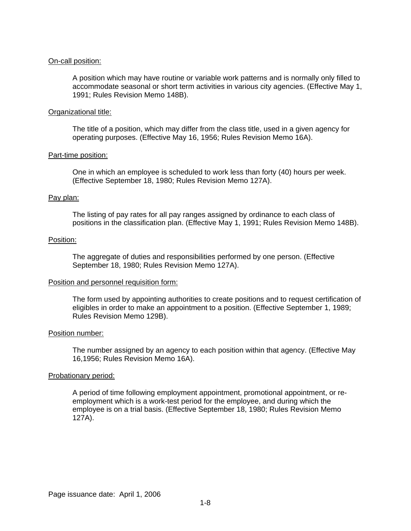## On-call position:

A position which may have routine or variable work patterns and is normally only filled to accommodate seasonal or short term activities in various city agencies. (Effective May 1, 1991; Rules Revision Memo 148B).

## Organizational title:

The title of a position, which may differ from the class title, used in a given agency for operating purposes. (Effective May 16, 1956; Rules Revision Memo 16A).

#### Part-time position:

One in which an employee is scheduled to work less than forty (40) hours per week. (Effective September 18, 1980; Rules Revision Memo 127A).

#### Pay plan:

The listing of pay rates for all pay ranges assigned by ordinance to each class of positions in the classification plan. (Effective May 1, 1991; Rules Revision Memo 148B).

#### Position:

The aggregate of duties and responsibilities performed by one person. (Effective September 18, 1980; Rules Revision Memo 127A).

## Position and personnel requisition form:

The form used by appointing authorities to create positions and to request certification of eligibles in order to make an appointment to a position. (Effective September 1, 1989; Rules Revision Memo 129B).

#### Position number:

The number assigned by an agency to each position within that agency. (Effective May 16,1956; Rules Revision Memo 16A).

## Probationary period:

A period of time following employment appointment, promotional appointment, or reemployment which is a work-test period for the employee, and during which the employee is on a trial basis. (Effective September 18, 1980; Rules Revision Memo 127A).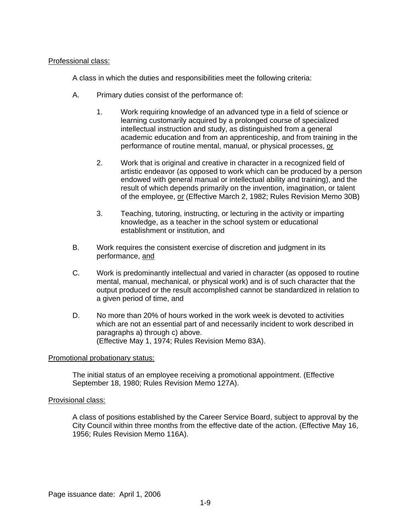## Professional class:

A class in which the duties and responsibilities meet the following criteria:

- A. Primary duties consist of the performance of:
	- 1. Work requiring knowledge of an advanced type in a field of science or learning customarily acquired by a prolonged course of specialized intellectual instruction and study, as distinguished from a general academic education and from an apprenticeship, and from training in the performance of routine mental, manual, or physical processes, or
	- 2. Work that is original and creative in character in a recognized field of artistic endeavor (as opposed to work which can be produced by a person endowed with general manual or intellectual ability and training), and the result of which depends primarily on the invention, imagination, or talent of the employee, or (Effective March 2, 1982; Rules Revision Memo 30B)
	- 3. Teaching, tutoring, instructing, or lecturing in the activity or imparting knowledge, as a teacher in the school system or educational establishment or institution, and
- B. Work requires the consistent exercise of discretion and judgment in its performance, and
- C. Work is predominantly intellectual and varied in character (as opposed to routine mental, manual, mechanical, or physical work) and is of such character that the output produced or the result accomplished cannot be standardized in relation to a given period of time, and
- D. No more than 20% of hours worked in the work week is devoted to activities which are not an essential part of and necessarily incident to work described in paragraphs a) through c) above. (Effective May 1, 1974; Rules Revision Memo 83A).

## Promotional probationary status:

The initial status of an employee receiving a promotional appointment. (Effective September 18, 1980; Rules Revision Memo 127A).

## Provisional class:

A class of positions established by the Career Service Board, subject to approval by the City Council within three months from the effective date of the action. (Effective May 16, 1956; Rules Revision Memo 116A).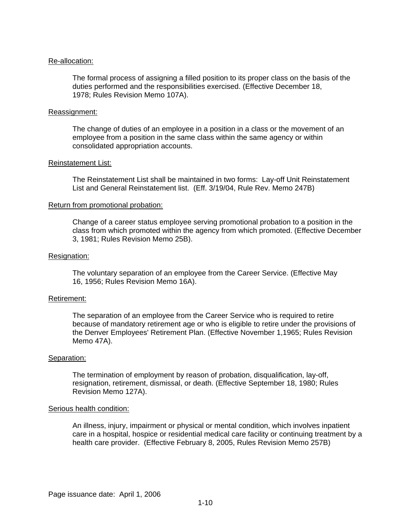### Re-allocation:

The formal process of assigning a filled position to its proper class on the basis of the duties performed and the responsibilities exercised. (Effective December 18, 1978; Rules Revision Memo 107A).

#### Reassignment:

The change of duties of an employee in a position in a class or the movement of an employee from a position in the same class within the same agency or within consolidated appropriation accounts.

#### Reinstatement List:

The Reinstatement List shall be maintained in two forms: Lay-off Unit Reinstatement List and General Reinstatement list. (Eff. 3/19/04, Rule Rev. Memo 247B)

#### Return from promotional probation:

Change of a career status employee serving promotional probation to a position in the class from which promoted within the agency from which promoted. (Effective December 3, 1981; Rules Revision Memo 25B).

### Resignation:

The voluntary separation of an employee from the Career Service. (Effective May 16, 1956; Rules Revision Memo 16A).

## Retirement:

The separation of an employee from the Career Service who is required to retire because of mandatory retirement age or who is eligible to retire under the provisions of the Denver Employees' Retirement Plan. (Effective November 1,1965; Rules Revision Memo 47A).

#### Separation:

The termination of employment by reason of probation, disqualification, lay-off, resignation, retirement, dismissal, or death. (Effective September 18, 1980; Rules Revision Memo 127A).

#### Serious health condition:

An illness, injury, impairment or physical or mental condition, which involves inpatient care in a hospital, hospice or residential medical care facility or continuing treatment by a health care provider. (Effective February 8, 2005, Rules Revision Memo 257B)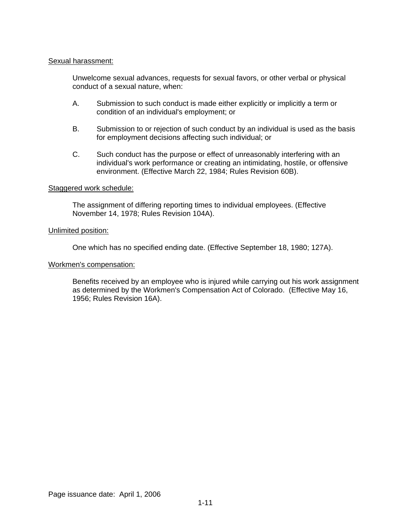## Sexual harassment:

Unwelcome sexual advances, requests for sexual favors, or other verbal or physical conduct of a sexual nature, when:

- A. Submission to such conduct is made either explicitly or implicitly a term or condition of an individual's employment; or
- B. Submission to or rejection of such conduct by an individual is used as the basis for employment decisions affecting such individual; or
- C. Such conduct has the purpose or effect of unreasonably interfering with an individual's work performance or creating an intimidating, hostile, or offensive environment. (Effective March 22, 1984; Rules Revision 60B).

## Staggered work schedule:

The assignment of differing reporting times to individual employees. (Effective November 14, 1978; Rules Revision 104A).

## Unlimited position:

One which has no specified ending date. (Effective September 18, 1980; 127A).

#### Workmen's compensation:

Benefits received by an employee who is injured while carrying out his work assignment as determined by the Workmen's Compensation Act of Colorado. (Effective May 16, 1956; Rules Revision 16A).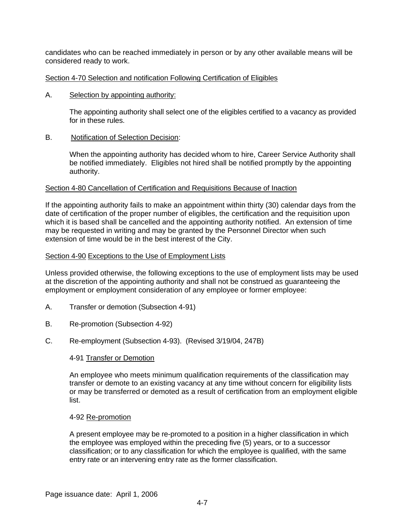candidates who can be reached immediately in person or by any other available means will be considered ready to work.

## Section 4-70 Selection and notification Following Certification of Eligibles

A. Selection by appointing authority:

The appointing authority shall select one of the eligibles certified to a vacancy as provided for in these rules.

B. Notification of Selection Decision:

When the appointing authority has decided whom to hire, Career Service Authority shall be notified immediately. Eligibles not hired shall be notified promptly by the appointing authority.

## Section 4-80 Cancellation of Certification and Requisitions Because of Inaction

If the appointing authority fails to make an appointment within thirty (30) calendar days from the date of certification of the proper number of eligibles, the certification and the requisition upon which it is based shall be cancelled and the appointing authority notified. An extension of time may be requested in writing and may be granted by the Personnel Director when such extension of time would be in the best interest of the City.

## Section 4-90 Exceptions to the Use of Employment Lists

Unless provided otherwise, the following exceptions to the use of employment lists may be used at the discretion of the appointing authority and shall not be construed as guaranteeing the employment or employment consideration of any employee or former employee:

- A. Transfer or demotion (Subsection 4-91)
- B. Re-promotion (Subsection 4-92)
- C. Re-employment (Subsection 4-93). (Revised 3/19/04, 247B)

## 4-91 Transfer or Demotion

An employee who meets minimum qualification requirements of the classification may transfer or demote to an existing vacancy at any time without concern for eligibility lists or may be transferred or demoted as a result of certification from an employment eligible list.

## 4-92 Re-promotion

A present employee may be re-promoted to a position in a higher classification in which the employee was employed within the preceding five (5) years, or to a successor classification; or to any classification for which the employee is qualified, with the same entry rate or an intervening entry rate as the former classification.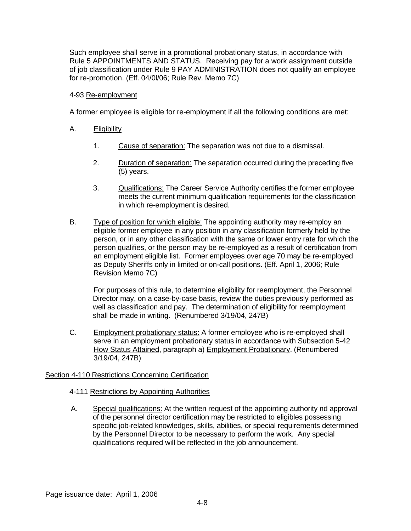Such employee shall serve in a promotional probationary status, in accordance with Rule 5 APPOINTMENTS AND STATUS. Receiving pay for a work assignment outside of job classification under Rule 9 PAY ADMINISTRATION does not qualify an employee for re-promotion. (Eff. 04/0l/06; Rule Rev. Memo 7C)

## 4-93 Re-employment

A former employee is eligible for re-employment if all the following conditions are met:

- A. Eligibility
	- 1. Cause of separation: The separation was not due to a dismissal.
	- 2. Duration of separation: The separation occurred during the preceding five (5) years.
	- 3. Qualifications: The Career Service Authority certifies the former employee meets the current minimum qualification requirements for the classification in which re-employment is desired.
- B. Type of position for which eligible: The appointing authority may re-employ an eligible former employee in any position in any classification formerly held by the person, or in any other classification with the same or lower entry rate for which the person qualifies, or the person may be re-employed as a result of certification from an employment eligible list. Former employees over age 70 may be re-employed as Deputy Sheriffs only in limited or on-call positions. (Eff. April 1, 2006; Rule Revision Memo 7C)

For purposes of this rule, to determine eligibility for reemployment, the Personnel Director may, on a case-by-case basis, review the duties previously performed as well as classification and pay. The determination of eligibility for reemployment shall be made in writing. (Renumbered 3/19/04, 247B)

C. Employment probationary status: A former employee who is re-employed shall serve in an employment probationary status in accordance with Subsection 5-42 How Status Attained, paragraph a) Employment Probationary. (Renumbered 3/19/04, 247B)

## Section 4-110 Restrictions Concerning Certification

## 4-111 Restrictions by Appointing Authorities

A. Special qualifications: At the written request of the appointing authority nd approval of the personnel director certification may be restricted to eligibles possessing specific job-related knowledges, skills, abilities, or special requirements determined by the Personnel Director to be necessary to perform the work. Any special qualifications required will be reflected in the job announcement.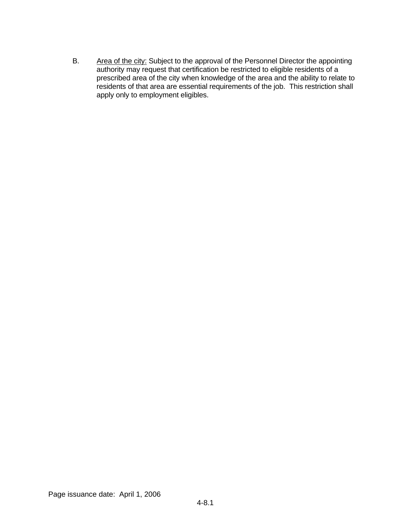B. Area of the city: Subject to the approval of the Personnel Director the appointing authority may request that certification be restricted to eligible residents of a prescribed area of the city when knowledge of the area and the ability to relate to residents of that area are essential requirements of the job. This restriction shall apply only to employment eligibles.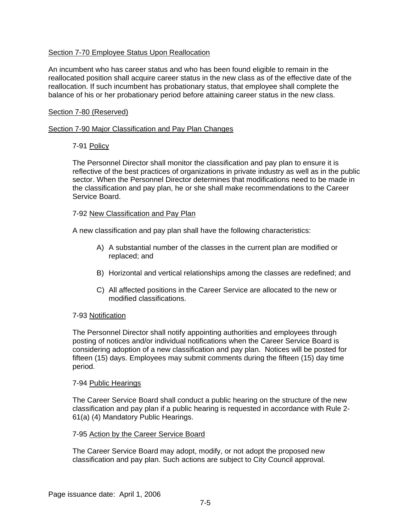## Section 7-70 Employee Status Upon Reallocation

An incumbent who has career status and who has been found eligible to remain in the reallocated position shall acquire career status in the new class as of the effective date of the reallocation. If such incumbent has probationary status, that employee shall complete the balance of his or her probationary period before attaining career status in the new class.

### Section 7-80 (Reserved)

### Section 7-90 Major Classification and Pay Plan Changes

## 7-91 Policy

The Personnel Director shall monitor the classification and pay plan to ensure it is reflective of the best practices of organizations in private industry as well as in the public sector. When the Personnel Director determines that modifications need to be made in the classification and pay plan, he or she shall make recommendations to the Career Service Board.

#### 7-92 New Classification and Pay Plan

A new classification and pay plan shall have the following characteristics:

- A) A substantial number of the classes in the current plan are modified or replaced; and
- B) Horizontal and vertical relationships among the classes are redefined; and
- C) All affected positions in the Career Service are allocated to the new or modified classifications.

## 7-93 Notification

The Personnel Director shall notify appointing authorities and employees through posting of notices and/or individual notifications when the Career Service Board is considering adoption of a new classification and pay plan. Notices will be posted for fifteen (15) days. Employees may submit comments during the fifteen (15) day time period.

## 7-94 Public Hearings

The Career Service Board shall conduct a public hearing on the structure of the new classification and pay plan if a public hearing is requested in accordance with Rule 2- 61(a) (4) Mandatory Public Hearings.

## 7-95 Action by the Career Service Board

The Career Service Board may adopt, modify, or not adopt the proposed new classification and pay plan. Such actions are subject to City Council approval.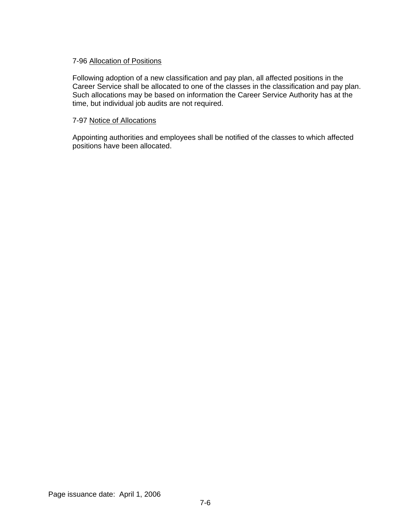## 7-96 Allocation of Positions

Following adoption of a new classification and pay plan, all affected positions in the Career Service shall be allocated to one of the classes in the classification and pay plan. Such allocations may be based on information the Career Service Authority has at the time, but individual job audits are not required.

## 7-97 Notice of Allocations

Appointing authorities and employees shall be notified of the classes to which affected positions have been allocated.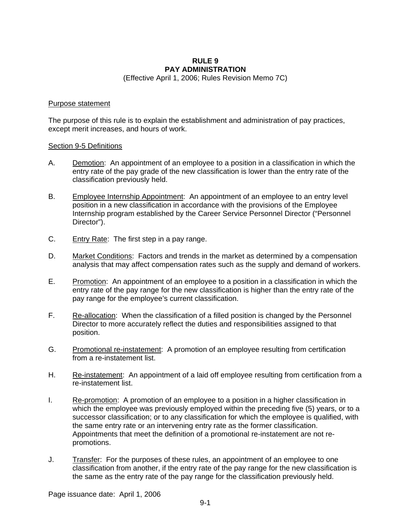# **RULE 9 PAY ADMINISTRATION**

(Effective April 1, 2006; Rules Revision Memo 7C)

## Purpose statement

The purpose of this rule is to explain the establishment and administration of pay practices, except merit increases, and hours of work.

## Section 9-5 Definitions

- A. Demotion: An appointment of an employee to a position in a classification in which the entry rate of the pay grade of the new classification is lower than the entry rate of the classification previously held.
- B. Employee Internship Appointment: An appointment of an employee to an entry level position in a new classification in accordance with the provisions of the Employee Internship program established by the Career Service Personnel Director ("Personnel Director").
- C. Entry Rate: The first step in a pay range.
- D. Market Conditions: Factors and trends in the market as determined by a compensation analysis that may affect compensation rates such as the supply and demand of workers.
- E. Promotion: An appointment of an employee to a position in a classification in which the entry rate of the pay range for the new classification is higher than the entry rate of the pay range for the employee's current classification.
- F. Re-allocation: When the classification of a filled position is changed by the Personnel Director to more accurately reflect the duties and responsibilities assigned to that position.
- G. Promotional re-instatement: A promotion of an employee resulting from certification from a re-instatement list.
- H. Re-instatement: An appointment of a laid off employee resulting from certification from a re-instatement list.
- I. Re-promotion: A promotion of an employee to a position in a higher classification in which the employee was previously employed within the preceding five (5) years, or to a successor classification; or to any classification for which the employee is qualified, with the same entry rate or an intervening entry rate as the former classification. Appointments that meet the definition of a promotional re-instatement are not repromotions.
- J. Transfer: For the purposes of these rules, an appointment of an employee to one classification from another, if the entry rate of the pay range for the new classification is the same as the entry rate of the pay range for the classification previously held.

Page issuance date: April 1, 2006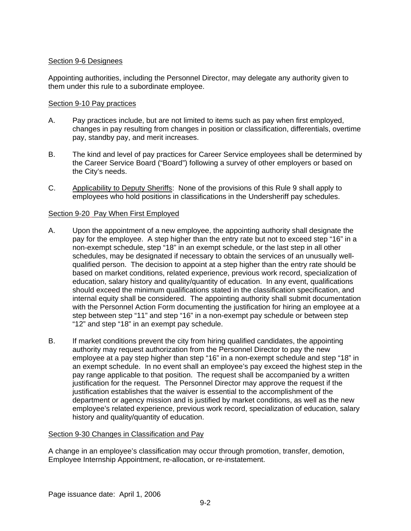## Section 9-6 Designees

Appointing authorities, including the Personnel Director, may delegate any authority given to them under this rule to a subordinate employee.

## Section 9-10 Pay practices

- A. Pay practices include, but are not limited to items such as pay when first employed, changes in pay resulting from changes in position or classification, differentials, overtime pay, standby pay, and merit increases.
- B. The kind and level of pay practices for Career Service employees shall be determined by the Career Service Board ("Board") following a survey of other employers or based on the City's needs.
- C. Applicability to Deputy Sheriffs:None of the provisions of this Rule 9 shall apply to employees who hold positions in classifications in the Undersheriff pay schedules.

## Section 9-20 Pay When First Employed

- A. Upon the appointment of a new employee, the appointing authority shall designate the pay for the employee. A step higher than the entry rate but not to exceed step "16" in a non-exempt schedule, step "18" in an exempt schedule, or the last step in all other schedules, may be designated if necessary to obtain the services of an unusually wellqualified person. The decision to appoint at a step higher than the entry rate should be based on market conditions, related experience, previous work record, specialization of education, salary history and quality/quantity of education. In any event, qualifications should exceed the minimum qualifications stated in the classification specification, and internal equity shall be considered. The appointing authority shall submit documentation with the Personnel Action Form documenting the justification for hiring an employee at a step between step "11" and step "16" in a non-exempt pay schedule or between step "12" and step "18" in an exempt pay schedule.
- B. If market conditions prevent the city from hiring qualified candidates, the appointing authority may request authorization from the Personnel Director to pay the new employee at a pay step higher than step "16" in a non-exempt schedule and step "18" in an exempt schedule. In no event shall an employee's pay exceed the highest step in the pay range applicable to that position. The request shall be accompanied by a written justification for the request. The Personnel Director may approve the request if the justification establishes that the waiver is essential to the accomplishment of the department or agency mission and is justified by market conditions, as well as the new employee's related experience, previous work record, specialization of education, salary history and quality/quantity of education.

## Section 9-30 Changes in Classification and Pay

A change in an employee's classification may occur through promotion, transfer, demotion, Employee Internship Appointment, re-allocation, or re-instatement.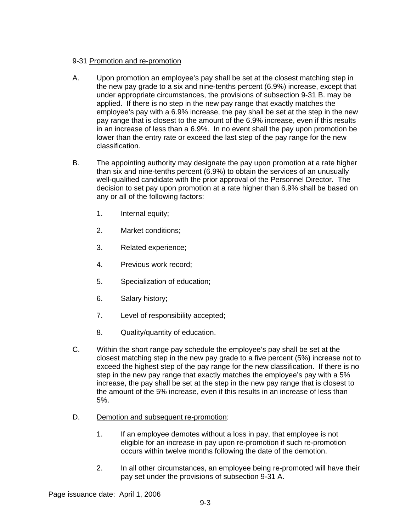# 9-31 Promotion and re-promotion

- A. Upon promotion an employee's pay shall be set at the closest matching step in the new pay grade to a six and nine-tenths percent (6.9%) increase, except that under appropriate circumstances, the provisions of subsection 9-31 B. may be applied. If there is no step in the new pay range that exactly matches the employee's pay with a 6.9% increase, the pay shall be set at the step in the new pay range that is closest to the amount of the 6.9% increase, even if this results in an increase of less than a 6.9%. In no event shall the pay upon promotion be lower than the entry rate or exceed the last step of the pay range for the new classification.
- B. The appointing authority may designate the pay upon promotion at a rate higher than six and nine-tenths percent (6.9%) to obtain the services of an unusually well-qualified candidate with the prior approval of the Personnel Director. The decision to set pay upon promotion at a rate higher than 6.9% shall be based on any or all of the following factors:
	- 1. Internal equity;
	- 2. Market conditions;
	- 3. Related experience;
	- 4. Previous work record;
	- 5. Specialization of education;
	- 6. Salary history;
	- 7. Level of responsibility accepted;
	- 8. Quality/quantity of education.
- C. Within the short range pay schedule the employee's pay shall be set at the closest matching step in the new pay grade to a five percent (5%) increase not to exceed the highest step of the pay range for the new classification. If there is no step in the new pay range that exactly matches the employee's pay with a 5% increase, the pay shall be set at the step in the new pay range that is closest to the amount of the 5% increase, even if this results in an increase of less than 5%.
- D. Demotion and subsequent re-promotion:
	- 1. If an employee demotes without a loss in pay, that employee is not eligible for an increase in pay upon re-promotion if such re-promotion occurs within twelve months following the date of the demotion.
	- 2. In all other circumstances, an employee being re-promoted will have their pay set under the provisions of subsection 9-31 A.

Page issuance date: April 1, 2006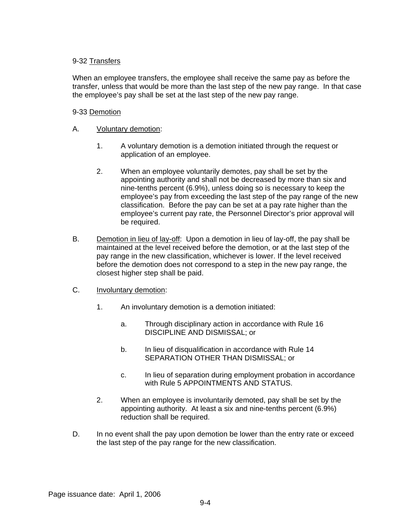# 9-32 Transfers

When an employee transfers, the employee shall receive the same pay as before the transfer, unless that would be more than the last step of the new pay range. In that case the employee's pay shall be set at the last step of the new pay range.

# 9-33 Demotion

# A. Voluntary demotion:

- 1. A voluntary demotion is a demotion initiated through the request or application of an employee.
- 2. When an employee voluntarily demotes, pay shall be set by the appointing authority and shall not be decreased by more than six and nine-tenths percent (6.9%), unless doing so is necessary to keep the employee's pay from exceeding the last step of the pay range of the new classification. Before the pay can be set at a pay rate higher than the employee's current pay rate, the Personnel Director's prior approval will be required.
- B. Demotion in lieu of lay-off: Upon a demotion in lieu of lay-off, the pay shall be maintained at the level received before the demotion, or at the last step of the pay range in the new classification, whichever is lower. If the level received before the demotion does not correspond to a step in the new pay range, the closest higher step shall be paid.
- C. Involuntary demotion:
	- 1. An involuntary demotion is a demotion initiated:
		- a. Through disciplinary action in accordance with Rule 16 DISCIPLINE AND DISMISSAL; or
		- b. In lieu of disqualification in accordance with Rule 14 SEPARATION OTHER THAN DISMISSAL; or
		- c. In lieu of separation during employment probation in accordance with Rule 5 APPOINTMENTS AND STATUS.
	- 2. When an employee is involuntarily demoted, pay shall be set by the appointing authority. At least a six and nine-tenths percent (6.9%) reduction shall be required.
- D. In no event shall the pay upon demotion be lower than the entry rate or exceed the last step of the pay range for the new classification.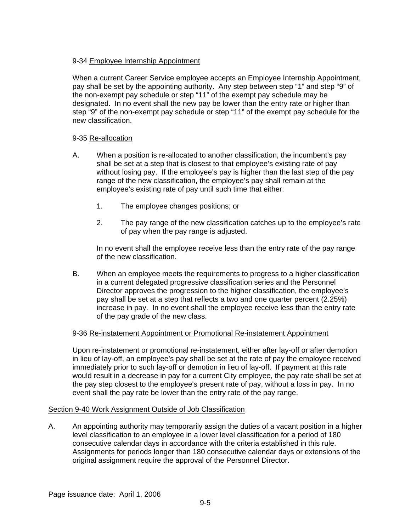# 9-34 Employee Internship Appointment

When a current Career Service employee accepts an Employee Internship Appointment, pay shall be set by the appointing authority. Any step between step "1" and step "9" of the non-exempt pay schedule or step "11" of the exempt pay schedule may be designated. In no event shall the new pay be lower than the entry rate or higher than step "9" of the non-exempt pay schedule or step "11" of the exempt pay schedule for the new classification.

# 9-35 Re-allocation

- A. When a position is re-allocated to another classification, the incumbent's pay shall be set at a step that is closest to that employee's existing rate of pay without losing pay. If the employee's pay is higher than the last step of the pay range of the new classification, the employee's pay shall remain at the employee's existing rate of pay until such time that either:
	- 1. The employee changes positions; or
	- 2. The pay range of the new classification catches up to the employee's rate of pay when the pay range is adjusted.

In no event shall the employee receive less than the entry rate of the pay range of the new classification.

B. When an employee meets the requirements to progress to a higher classification in a current delegated progressive classification series and the Personnel Director approves the progression to the higher classification, the employee's pay shall be set at a step that reflects a two and one quarter percent (2.25%) increase in pay. In no event shall the employee receive less than the entry rate of the pay grade of the new class.

## 9-36 Re-instatement Appointment or Promotional Re-instatement Appointment

Upon re-instatement or promotional re-instatement, either after lay-off or after demotion in lieu of lay-off, an employee's pay shall be set at the rate of pay the employee received immediately prior to such lay-off or demotion in lieu of lay-off. If payment at this rate would result in a decrease in pay for a current City employee, the pay rate shall be set at the pay step closest to the employee's present rate of pay, without a loss in pay. In no event shall the pay rate be lower than the entry rate of the pay range.

## Section 9-40 Work Assignment Outside of Job Classification

A. An appointing authority may temporarily assign the duties of a vacant position in a higher level classification to an employee in a lower level classification for a period of 180 consecutive calendar days in accordance with the criteria established in this rule. Assignments for periods longer than 180 consecutive calendar days or extensions of the original assignment require the approval of the Personnel Director.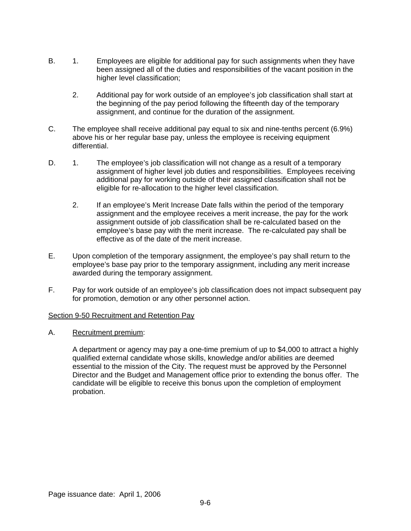- B. 1. Employees are eligible for additional pay for such assignments when they have been assigned all of the duties and responsibilities of the vacant position in the higher level classification;
	- 2. Additional pay for work outside of an employee's job classification shall start at the beginning of the pay period following the fifteenth day of the temporary assignment, and continue for the duration of the assignment.
- C. The employee shall receive additional pay equal to six and nine-tenths percent (6.9%) above his or her regular base pay, unless the employee is receiving equipment differential.
- D. 1. The employee's job classification will not change as a result of a temporary assignment of higher level job duties and responsibilities. Employees receiving additional pay for working outside of their assigned classification shall not be eligible for re-allocation to the higher level classification.
	- 2. If an employee's Merit Increase Date falls within the period of the temporary assignment and the employee receives a merit increase, the pay for the work assignment outside of job classification shall be re-calculated based on the employee's base pay with the merit increase. The re-calculated pay shall be effective as of the date of the merit increase.
- E. Upon completion of the temporary assignment, the employee's pay shall return to the employee's base pay prior to the temporary assignment, including any merit increase awarded during the temporary assignment.
- F. Pay for work outside of an employee's job classification does not impact subsequent pay for promotion, demotion or any other personnel action.

## Section 9-50 Recruitment and Retention Pay

A. Recruitment premium:

A department or agency may pay a one-time premium of up to \$4,000 to attract a highly qualified external candidate whose skills, knowledge and/or abilities are deemed essential to the mission of the City. The request must be approved by the Personnel Director and the Budget and Management office prior to extending the bonus offer. The candidate will be eligible to receive this bonus upon the completion of employment probation.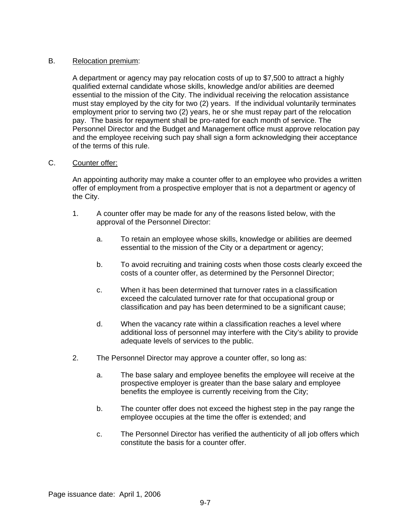## B. Relocation premium:

A department or agency may pay relocation costs of up to \$7,500 to attract a highly qualified external candidate whose skills, knowledge and/or abilities are deemed essential to the mission of the City. The individual receiving the relocation assistance must stay employed by the city for two (2) years. If the individual voluntarily terminates employment prior to serving two (2) years, he or she must repay part of the relocation pay. The basis for repayment shall be pro-rated for each month of service. The Personnel Director and the Budget and Management office must approve relocation pay and the employee receiving such pay shall sign a form acknowledging their acceptance of the terms of this rule.

# C. Counter offer:

An appointing authority may make a counter offer to an employee who provides a written offer of employment from a prospective employer that is not a department or agency of the City.

- 1. A counter offer may be made for any of the reasons listed below, with the approval of the Personnel Director:
	- a. To retain an employee whose skills, knowledge or abilities are deemed essential to the mission of the City or a department or agency;
	- b. To avoid recruiting and training costs when those costs clearly exceed the costs of a counter offer, as determined by the Personnel Director;
	- c. When it has been determined that turnover rates in a classification exceed the calculated turnover rate for that occupational group or classification and pay has been determined to be a significant cause;
	- d. When the vacancy rate within a classification reaches a level where additional loss of personnel may interfere with the City's ability to provide adequate levels of services to the public.
- 2. The Personnel Director may approve a counter offer, so long as:
	- a. The base salary and employee benefits the employee will receive at the prospective employer is greater than the base salary and employee benefits the employee is currently receiving from the City;
	- b. The counter offer does not exceed the highest step in the pay range the employee occupies at the time the offer is extended; and
	- c. The Personnel Director has verified the authenticity of all job offers which constitute the basis for a counter offer.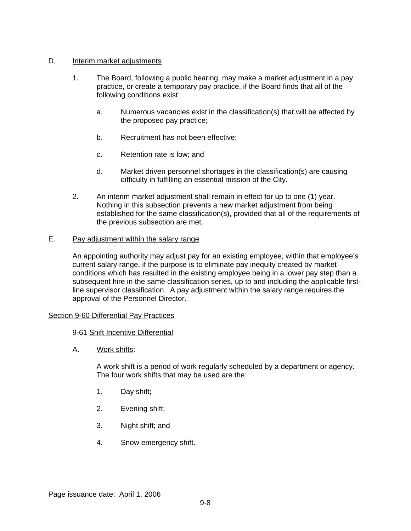## D. **Interim market adjustments**

- 1. The Board, following a public hearing, may make a market adjustment in a pay practice, or create a temporary pay practice, if the Board finds that all of the following conditions exist:
	- a. Numerous vacancies exist in the classification(s) that will be affected by the proposed pay practice;
	- b. Recruitment has not been effective;
	- c. Retention rate is low; and
	- d. Market driven personnel shortages in the classification(s) are causing difficulty in fulfilling an essential mission of the City.
- 2. An interim market adjustment shall remain in effect for up to one (1) year. Nothing in this subsection prevents a new market adjustment from being established for the same classification(s), provided that all of the requirements of the previous subsection are met.

## E. Pay adjustment within the salary range

An appointing authority may adjust pay for an existing employee, within that employee's current salary range, if the purpose is to eliminate pay inequity created by market conditions which has resulted in the existing employee being in a lower pay step than a subsequent hire in the same classification series, up to and including the applicable firstline supervisor classification. A pay adjustment within the salary range requires the approval of the Personnel Director.

## Section 9-60 Differential Pay Practices

## 9-61 Shift Incentive Differential

A. Work shifts:

A work shift is a period of work regularly scheduled by a department or agency. The four work shifts that may be used are the:

- 1. Day shift;
- 2. Evening shift;
- 3. Night shift; and
- 4. Snow emergency shift.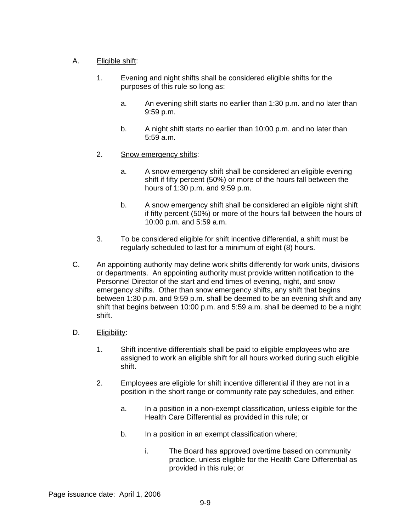# A. Eligible shift:

- 1. Evening and night shifts shall be considered eligible shifts for the purposes of this rule so long as:
	- a. An evening shift starts no earlier than 1:30 p.m. and no later than 9:59 p.m.
	- b. A night shift starts no earlier than 10:00 p.m. and no later than 5:59 a.m.
- 2. Snow emergency shifts:
	- a. A snow emergency shift shall be considered an eligible evening shift if fifty percent (50%) or more of the hours fall between the hours of 1:30 p.m. and 9:59 p.m.
	- b. A snow emergency shift shall be considered an eligible night shift if fifty percent (50%) or more of the hours fall between the hours of 10:00 p.m. and 5:59 a.m.
- 3. To be considered eligible for shift incentive differential, a shift must be regularly scheduled to last for a minimum of eight (8) hours.
- C. An appointing authority may define work shifts differently for work units, divisions or departments. An appointing authority must provide written notification to the Personnel Director of the start and end times of evening, night, and snow emergency shifts. Other than snow emergency shifts, any shift that begins between 1:30 p.m. and 9:59 p.m. shall be deemed to be an evening shift and any shift that begins between 10:00 p.m. and 5:59 a.m. shall be deemed to be a night shift.
- D. Eligibility:
	- 1. Shift incentive differentials shall be paid to eligible employees who are assigned to work an eligible shift for all hours worked during such eligible shift.
	- 2. Employees are eligible for shift incentive differential if they are not in a position in the short range or community rate pay schedules, and either:
		- a. In a position in a non-exempt classification, unless eligible for the Health Care Differential as provided in this rule; or
		- b. In a position in an exempt classification where;
			- i. The Board has approved overtime based on community practice, unless eligible for the Health Care Differential as provided in this rule; or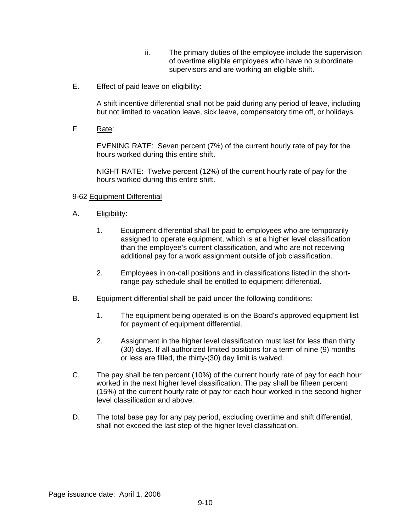- ii. The primary duties of the employee include the supervision of overtime eligible employees who have no subordinate supervisors and are working an eligible shift.
- E. Effect of paid leave on eligibility:

A shift incentive differential shall not be paid during any period of leave, including but not limited to vacation leave, sick leave, compensatory time off, or holidays.

F. Rate:

EVENING RATE: Seven percent (7%) of the current hourly rate of pay for the hours worked during this entire shift.

NIGHT RATE: Twelve percent (12%) of the current hourly rate of pay for the hours worked during this entire shift.

## 9-62 Equipment Differential

- A. Eligibility:
	- 1. Equipment differential shall be paid to employees who are temporarily assigned to operate equipment, which is at a higher level classification than the employee's current classification, and who are not receiving additional pay for a work assignment outside of job classification.
	- 2. Employees in on-call positions and in classifications listed in the shortrange pay schedule shall be entitled to equipment differential.
- B. Equipment differential shall be paid under the following conditions:
	- 1. The equipment being operated is on the Board's approved equipment list for payment of equipment differential.
	- 2. Assignment in the higher level classification must last for less than thirty (30) days. If all authorized limited positions for a term of nine (9) months or less are filled, the thirty-(30) day limit is waived.
- C. The pay shall be ten percent (10%) of the current hourly rate of pay for each hour worked in the next higher level classification. The pay shall be fifteen percent (15%) of the current hourly rate of pay for each hour worked in the second higher level classification and above.
- D. The total base pay for any pay period, excluding overtime and shift differential, shall not exceed the last step of the higher level classification.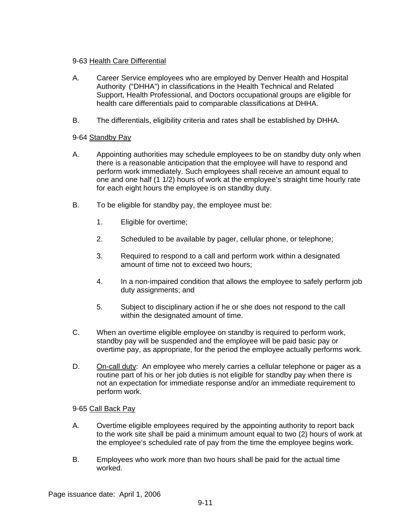## 9-63 Health Care Differential

- A. Career Service employees who are employed by Denver Health and Hospital Authority ("DHHA") in classifications in the Health Technical and Related Support, Health Professional, and Doctors occupational groups are eligible for health care differentials paid to comparable classifications at DHHA.
- B. The differentials, eligibility criteria and rates shall be established by DHHA.

## 9-64 Standby Pay

- A. Appointing authorities may schedule employees to be on standby duty only when there is a reasonable anticipation that the employee will have to respond and perform work immediately. Such employees shall receive an amount equal to one and one half (1 1/2) hours of work at the employee's straight time hourly rate for each eight hours the employee is on standby duty.
- B. To be eligible for standby pay, the employee must be:
	- 1. Eligible for overtime;
	- 2. Scheduled to be available by pager, cellular phone, or telephone;
	- 3. Required to respond to a call and perform work within a designated amount of time not to exceed two hours;
	- 4. In a non-impaired condition that allows the employee to safely perform job duty assignments; and
	- 5. Subject to disciplinary action if he or she does not respond to the call within the designated amount of time.
- C. When an overtime eligible employee on standby is required to perform work, standby pay will be suspended and the employee will be paid basic pay or overtime pay, as appropriate, for the period the employee actually performs work.
- D. On-call duty: An employee who merely carries a cellular telephone or pager as a routine part of his or her job duties is not eligible for standby pay when there is not an expectation for immediate response and/or an immediate requirement to perform work.

## 9-65 Call Back Pay

- A. Overtime eligible employees required by the appointing authority to report back to the work site shall be paid a minimum amount equal to two (2) hours of work at the employee's scheduled rate of pay from the time the employee begins work.
- B. Employees who work more than two hours shall be paid for the actual time worked.

Page issuance date: April 1, 2006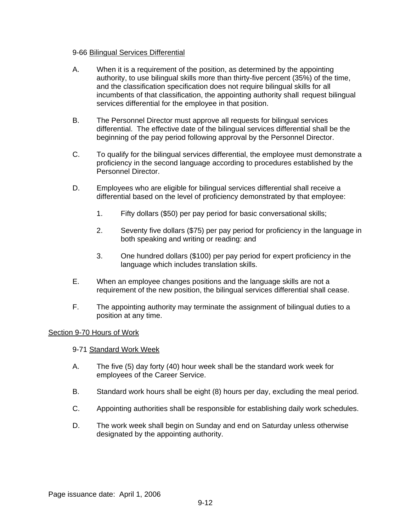## 9-66 Bilingual Services Differential

- A. When it is a requirement of the position, as determined by the appointing authority, to use bilingual skills more than thirty-five percent (35%) of the time, and the classification specification does not require bilingual skills for all incumbents of that classification, the appointing authority shall request bilingual services differential for the employee in that position.
- B. The Personnel Director must approve all requests for bilingual services differential. The effective date of the bilingual services differential shall be the beginning of the pay period following approval by the Personnel Director.
- C. To qualify for the bilingual services differential, the employee must demonstrate a proficiency in the second language according to procedures established by the Personnel Director.
- D. Employees who are eligible for bilingual services differential shall receive a differential based on the level of proficiency demonstrated by that employee:
	- 1. Fifty dollars (\$50) per pay period for basic conversational skills;
	- 2. Seventy five dollars (\$75) per pay period for proficiency in the language in both speaking and writing or reading: and
	- 3. One hundred dollars (\$100) per pay period for expert proficiency in the language which includes translation skills.
- E. When an employee changes positions and the language skills are not a requirement of the new position, the bilingual services differential shall cease.
- F. The appointing authority may terminate the assignment of bilingual duties to a position at any time.

## Section 9-70 Hours of Work

## 9-71 Standard Work Week

- A. The five (5) day forty (40) hour week shall be the standard work week for employees of the Career Service.
- B. Standard work hours shall be eight (8) hours per day, excluding the meal period.
- C. Appointing authorities shall be responsible for establishing daily work schedules.
- D. The work week shall begin on Sunday and end on Saturday unless otherwise designated by the appointing authority.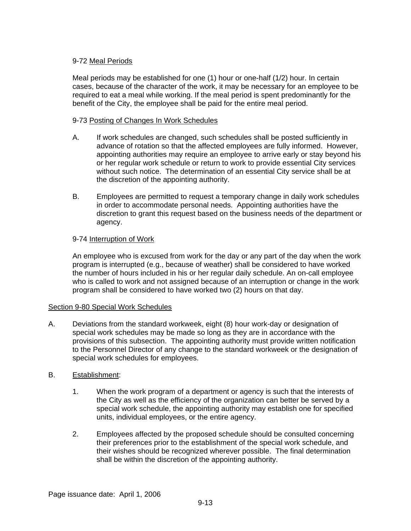# 9-72 Meal Periods

Meal periods may be established for one (1) hour or one-half (1/2) hour. In certain cases, because of the character of the work, it may be necessary for an employee to be required to eat a meal while working. If the meal period is spent predominantly for the benefit of the City, the employee shall be paid for the entire meal period.

# 9-73 Posting of Changes In Work Schedules

- A. If work schedules are changed, such schedules shall be posted sufficiently in advance of rotation so that the affected employees are fully informed. However, appointing authorities may require an employee to arrive early or stay beyond his or her regular work schedule or return to work to provide essential City services without such notice. The determination of an essential City service shall be at the discretion of the appointing authority.
- B. Employees are permitted to request a temporary change in daily work schedules in order to accommodate personal needs. Appointing authorities have the discretion to grant this request based on the business needs of the department or agency.

# 9-74 Interruption of Work

An employee who is excused from work for the day or any part of the day when the work program is interrupted (e.g., because of weather) shall be considered to have worked the number of hours included in his or her regular daily schedule. An on-call employee who is called to work and not assigned because of an interruption or change in the work program shall be considered to have worked two (2) hours on that day.

## Section 9-80 Special Work Schedules

A. Deviations from the standard workweek, eight (8) hour work-day or designation of special work schedules may be made so long as they are in accordance with the provisions of this subsection. The appointing authority must provide written notification to the Personnel Director of any change to the standard workweek or the designation of special work schedules for employees.

## B. Establishment:

- 1. When the work program of a department or agency is such that the interests of the City as well as the efficiency of the organization can better be served by a special work schedule, the appointing authority may establish one for specified units, individual employees, or the entire agency.
- 2. Employees affected by the proposed schedule should be consulted concerning their preferences prior to the establishment of the special work schedule, and their wishes should be recognized wherever possible. The final determination shall be within the discretion of the appointing authority.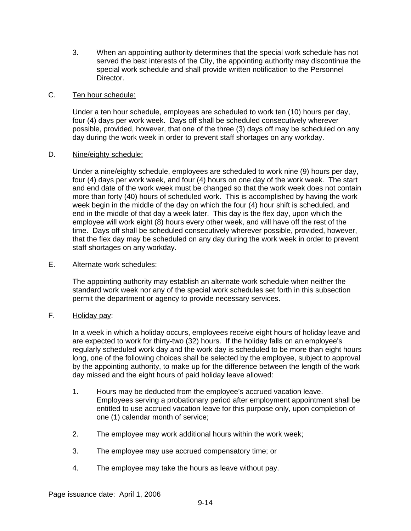3. When an appointing authority determines that the special work schedule has not served the best interests of the City, the appointing authority may discontinue the special work schedule and shall provide written notification to the Personnel Director.

## C. Ten hour schedule:

Under a ten hour schedule, employees are scheduled to work ten (10) hours per day, four (4) days per work week. Days off shall be scheduled consecutively wherever possible, provided, however, that one of the three (3) days off may be scheduled on any day during the work week in order to prevent staff shortages on any workday.

## D. Nine/eighty schedule:

Under a nine/eighty schedule, employees are scheduled to work nine (9) hours per day, four (4) days per work week, and four (4) hours on one day of the work week. The start and end date of the work week must be changed so that the work week does not contain more than forty (40) hours of scheduled work. This is accomplished by having the work week begin in the middle of the day on which the four (4) hour shift is scheduled, and end in the middle of that day a week later. This day is the flex day, upon which the employee will work eight (8) hours every other week, and will have off the rest of the time. Days off shall be scheduled consecutively wherever possible, provided, however, that the flex day may be scheduled on any day during the work week in order to prevent staff shortages on any workday.

## E. Alternate work schedules:

The appointing authority may establish an alternate work schedule when neither the standard work week nor any of the special work schedules set forth in this subsection permit the department or agency to provide necessary services.

# F. Holiday pay:

In a week in which a holiday occurs, employees receive eight hours of holiday leave and are expected to work for thirty-two (32) hours. If the holiday falls on an employee's regularly scheduled work day and the work day is scheduled to be more than eight hours long, one of the following choices shall be selected by the employee, subject to approval by the appointing authority, to make up for the difference between the length of the work day missed and the eight hours of paid holiday leave allowed:

- 1. Hours may be deducted from the employee's accrued vacation leave. Employees serving a probationary period after employment appointment shall be entitled to use accrued vacation leave for this purpose only, upon completion of one (1) calendar month of service;
- 2. The employee may work additional hours within the work week;
- 3. The employee may use accrued compensatory time; or
- 4. The employee may take the hours as leave without pay.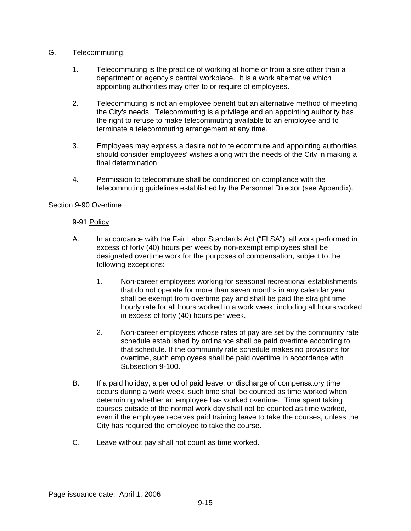## G. Telecommuting:

- 1. Telecommuting is the practice of working at home or from a site other than a department or agency's central workplace. It is a work alternative which appointing authorities may offer to or require of employees.
- 2. Telecommuting is not an employee benefit but an alternative method of meeting the City's needs. Telecommuting is a privilege and an appointing authority has the right to refuse to make telecommuting available to an employee and to terminate a telecommuting arrangement at any time.
- 3. Employees may express a desire not to telecommute and appointing authorities should consider employees' wishes along with the needs of the City in making a final determination.
- 4. Permission to telecommute shall be conditioned on compliance with the telecommuting guidelines established by the Personnel Director (see Appendix).

## Section 9-90 Overtime

## 9-91 Policy

- A. In accordance with the Fair Labor Standards Act ("FLSA"), all work performed in excess of forty (40) hours per week by non-exempt employees shall be designated overtime work for the purposes of compensation, subject to the following exceptions:
	- 1. Non-career employees working for seasonal recreational establishments that do not operate for more than seven months in any calendar year shall be exempt from overtime pay and shall be paid the straight time hourly rate for all hours worked in a work week, including all hours worked in excess of forty (40) hours per week.
	- 2. Non-career employees whose rates of pay are set by the community rate schedule established by ordinance shall be paid overtime according to that schedule. If the community rate schedule makes no provisions for overtime, such employees shall be paid overtime in accordance with Subsection 9-100.
- B. If a paid holiday, a period of paid leave, or discharge of compensatory time occurs during a work week, such time shall be counted as time worked when determining whether an employee has worked overtime. Time spent taking courses outside of the normal work day shall not be counted as time worked, even if the employee receives paid training leave to take the courses, unless the City has required the employee to take the course.
- C. Leave without pay shall not count as time worked.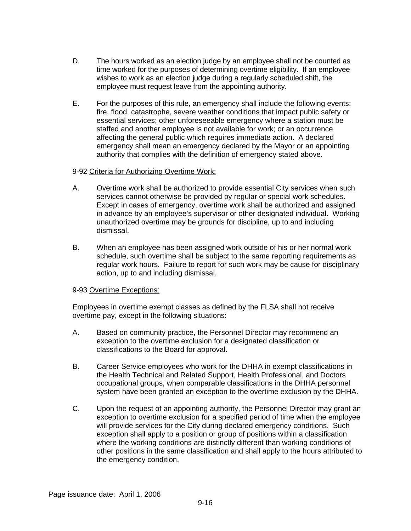- D. The hours worked as an election judge by an employee shall not be counted as time worked for the purposes of determining overtime eligibility. If an employee wishes to work as an election judge during a regularly scheduled shift, the employee must request leave from the appointing authority.
- E. For the purposes of this rule, an emergency shall include the following events: fire, flood, catastrophe, severe weather conditions that impact public safety or essential services; other unforeseeable emergency where a station must be staffed and another employee is not available for work; or an occurrence affecting the general public which requires immediate action. A declared emergency shall mean an emergency declared by the Mayor or an appointing authority that complies with the definition of emergency stated above.

## 9-92 Criteria for Authorizing Overtime Work:

- A. Overtime work shall be authorized to provide essential City services when such services cannot otherwise be provided by regular or special work schedules. Except in cases of emergency, overtime work shall be authorized and assigned in advance by an employee's supervisor or other designated individual. Working unauthorized overtime may be grounds for discipline, up to and including dismissal.
- B. When an employee has been assigned work outside of his or her normal work schedule, such overtime shall be subject to the same reporting requirements as regular work hours. Failure to report for such work may be cause for disciplinary action, up to and including dismissal.

## 9-93 Overtime Exceptions:

Employees in overtime exempt classes as defined by the FLSA shall not receive overtime pay, except in the following situations:

- A. Based on community practice, the Personnel Director may recommend an exception to the overtime exclusion for a designated classification or classifications to the Board for approval.
- B. Career Service employees who work for the DHHA in exempt classifications in the Health Technical and Related Support, Health Professional, and Doctors occupational groups, when comparable classifications in the DHHA personnel system have been granted an exception to the overtime exclusion by the DHHA.
- C. Upon the request of an appointing authority, the Personnel Director may grant an exception to overtime exclusion for a specified period of time when the employee will provide services for the City during declared emergency conditions. Such exception shall apply to a position or group of positions within a classification where the working conditions are distinctly different than working conditions of other positions in the same classification and shall apply to the hours attributed to the emergency condition.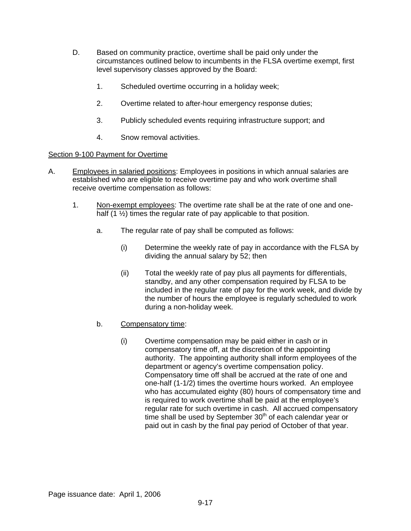- D. Based on community practice, overtime shall be paid only under the circumstances outlined below to incumbents in the FLSA overtime exempt, first level supervisory classes approved by the Board:
	- 1. Scheduled overtime occurring in a holiday week;
	- 2. Overtime related to after-hour emergency response duties;
	- 3. Publicly scheduled events requiring infrastructure support; and
	- 4. Snow removal activities.

## Section 9-100 Payment for Overtime

- A. Employees in salaried positions: Employees in positions in which annual salaries are established who are eligible to receive overtime pay and who work overtime shall receive overtime compensation as follows:
	- 1. Non-exempt employees: The overtime rate shall be at the rate of one and onehalf (1  $\frac{1}{2}$ ) times the regular rate of pay applicable to that position.
		- a. The regular rate of pay shall be computed as follows:
			- (i) Determine the weekly rate of pay in accordance with the FLSA by dividing the annual salary by 52; then
			- (ii) Total the weekly rate of pay plus all payments for differentials, standby, and any other compensation required by FLSA to be included in the regular rate of pay for the work week, and divide by the number of hours the employee is regularly scheduled to work during a non-holiday week.
		- b. Compensatory time:
			- (i) Overtime compensation may be paid either in cash or in compensatory time off, at the discretion of the appointing authority. The appointing authority shall inform employees of the department or agency's overtime compensation policy. Compensatory time off shall be accrued at the rate of one and one-half (1-1/2) times the overtime hours worked. An employee who has accumulated eighty (80) hours of compensatory time and is required to work overtime shall be paid at the employee's regular rate for such overtime in cash. All accrued compensatory time shall be used by September  $30<sup>th</sup>$  of each calendar year or paid out in cash by the final pay period of October of that year.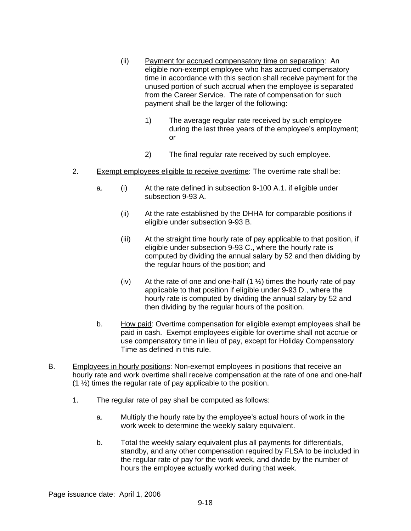- (ii) Payment for accrued compensatory time on separation: An eligible non-exempt employee who has accrued compensatory time in accordance with this section shall receive payment for the unused portion of such accrual when the employee is separated from the Career Service. The rate of compensation for such payment shall be the larger of the following:
	- 1) The average regular rate received by such employee during the last three years of the employee's employment; or
	- 2) The final regular rate received by such employee.
- 2. Exempt employees eligible to receive overtime: The overtime rate shall be:
	- a. (i) At the rate defined in subsection 9-100 A.1. if eligible under subsection 9-93 A.
		- (ii) At the rate established by the DHHA for comparable positions if eligible under subsection 9-93 B.
		- (iii) At the straight time hourly rate of pay applicable to that position, if eligible under subsection 9-93 C., where the hourly rate is computed by dividing the annual salary by 52 and then dividing by the regular hours of the position; and
		- (iv) At the rate of one and one-half  $(1 \frac{1}{2})$  times the hourly rate of pay applicable to that position if eligible under 9-93 D., where the hourly rate is computed by dividing the annual salary by 52 and then dividing by the regular hours of the position.
	- b. How paid: Overtime compensation for eligible exempt employees shall be paid in cash. Exempt employees eligible for overtime shall not accrue or use compensatory time in lieu of pay, except for Holiday Compensatory Time as defined in this rule.
- B. Employees in hourly positions: Non-exempt employees in positions that receive an hourly rate and work overtime shall receive compensation at the rate of one and one-half (1 ½) times the regular rate of pay applicable to the position.
	- 1. The regular rate of pay shall be computed as follows:
		- a. Multiply the hourly rate by the employee's actual hours of work in the work week to determine the weekly salary equivalent.
		- b. Total the weekly salary equivalent plus all payments for differentials, standby, and any other compensation required by FLSA to be included in the regular rate of pay for the work week, and divide by the number of hours the employee actually worked during that week.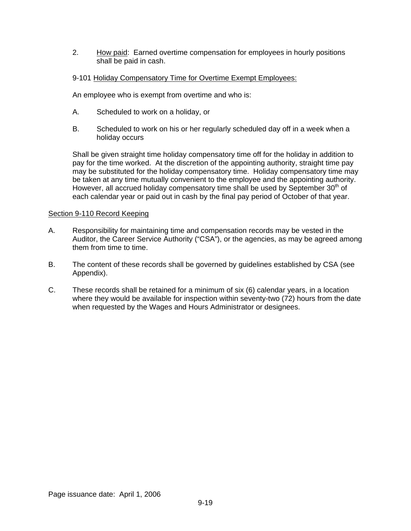2. How paid: Earned overtime compensation for employees in hourly positions shall be paid in cash.

## 9-101 Holiday Compensatory Time for Overtime Exempt Employees:

An employee who is exempt from overtime and who is:

- A. Scheduled to work on a holiday, or
- B. Scheduled to work on his or her regularly scheduled day off in a week when a holiday occurs

Shall be given straight time holiday compensatory time off for the holiday in addition to pay for the time worked. At the discretion of the appointing authority, straight time pay may be substituted for the holiday compensatory time. Holiday compensatory time may be taken at any time mutually convenient to the employee and the appointing authority. However, all accrued holiday compensatory time shall be used by September 30<sup>th</sup> of each calendar year or paid out in cash by the final pay period of October of that year.

## Section 9-110 Record Keeping

- A. Responsibility for maintaining time and compensation records may be vested in the Auditor, the Career Service Authority ("CSA"), or the agencies, as may be agreed among them from time to time.
- B. The content of these records shall be governed by guidelines established by CSA (see Appendix).
- C. These records shall be retained for a minimum of six (6) calendar years, in a location where they would be available for inspection within seventy-two (72) hours from the date when requested by the Wages and Hours Administrator or designees.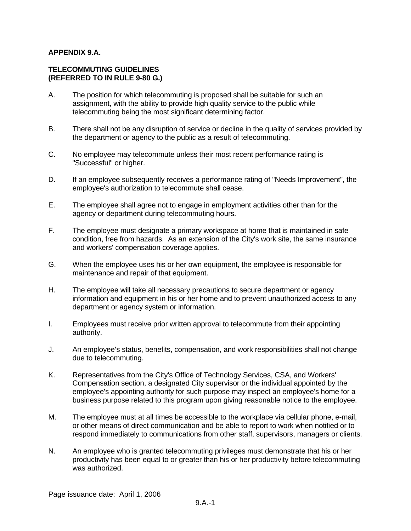## **APPENDIX 9.A.**

## **TELECOMMUTING GUIDELINES (REFERRED TO IN RULE 9-80 G.)**

- A. The position for which telecommuting is proposed shall be suitable for such an assignment, with the ability to provide high quality service to the public while telecommuting being the most significant determining factor.
- B. There shall not be any disruption of service or decline in the quality of services provided by the department or agency to the public as a result of telecommuting.
- C. No employee may telecommute unless their most recent performance rating is "Successful" or higher.
- D. If an employee subsequently receives a performance rating of "Needs Improvement", the employee's authorization to telecommute shall cease.
- E. The employee shall agree not to engage in employment activities other than for the agency or department during telecommuting hours.
- F. The employee must designate a primary workspace at home that is maintained in safe condition, free from hazards. As an extension of the City's work site, the same insurance and workers' compensation coverage applies.
- G. When the employee uses his or her own equipment, the employee is responsible for maintenance and repair of that equipment.
- H. The employee will take all necessary precautions to secure department or agency information and equipment in his or her home and to prevent unauthorized access to any department or agency system or information.
- I. Employees must receive prior written approval to telecommute from their appointing authority.
- J. An employee's status, benefits, compensation, and work responsibilities shall not change due to telecommuting.
- K. Representatives from the City's Office of Technology Services, CSA, and Workers' Compensation section, a designated City supervisor or the individual appointed by the employee's appointing authority for such purpose may inspect an employee's home for a business purpose related to this program upon giving reasonable notice to the employee.
- M. The employee must at all times be accessible to the workplace via cellular phone, e-mail, or other means of direct communication and be able to report to work when notified or to respond immediately to communications from other staff, supervisors, managers or clients.
- N. An employee who is granted telecommuting privileges must demonstrate that his or her productivity has been equal to or greater than his or her productivity before telecommuting was authorized.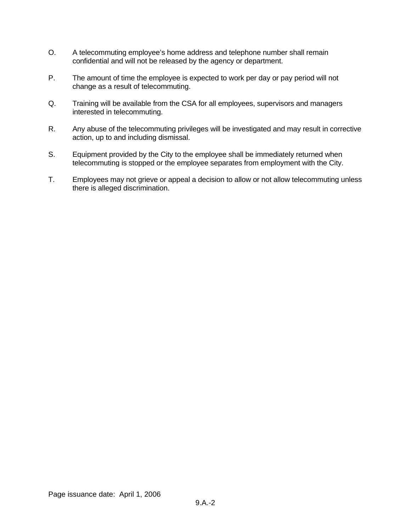- O. A telecommuting employee's home address and telephone number shall remain confidential and will not be released by the agency or department.
- P. The amount of time the employee is expected to work per day or pay period will not change as a result of telecommuting.
- Q. Training will be available from the CSA for all employees, supervisors and managers interested in telecommuting.
- R. Any abuse of the telecommuting privileges will be investigated and may result in corrective action, up to and including dismissal.
- S. Equipment provided by the City to the employee shall be immediately returned when telecommuting is stopped or the employee separates from employment with the City.
- T. Employees may not grieve or appeal a decision to allow or not allow telecommuting unless there is alleged discrimination.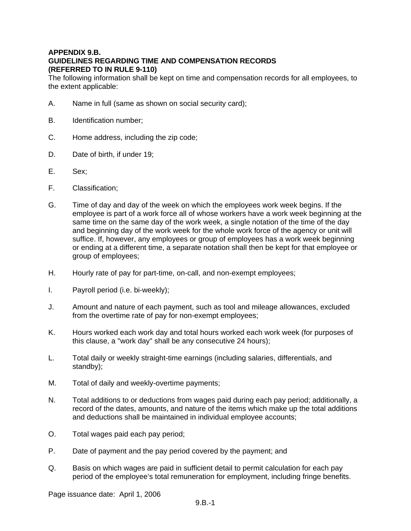# **APPENDIX 9.B. GUIDELINES REGARDING TIME AND COMPENSATION RECORDS (REFERRED TO IN RULE 9-110)**

The following information shall be kept on time and compensation records for all employees, to the extent applicable:

- A. Name in full (same as shown on social security card);
- B. Identification number;
- C. Home address, including the zip code;
- D. Date of birth, if under 19;
- E. Sex;
- F. Classification;
- G. Time of day and day of the week on which the employees work week begins. If the employee is part of a work force all of whose workers have a work week beginning at the same time on the same day of the work week, a single notation of the time of the day and beginning day of the work week for the whole work force of the agency or unit will suffice. If, however, any employees or group of employees has a work week beginning or ending at a different time, a separate notation shall then be kept for that employee or group of employees;
- H. Hourly rate of pay for part-time, on-call, and non-exempt employees;
- I. Payroll period (i.e. bi-weekly);
- J. Amount and nature of each payment, such as tool and mileage allowances, excluded from the overtime rate of pay for non-exempt employees;
- K. Hours worked each work day and total hours worked each work week (for purposes of this clause, a "work day" shall be any consecutive 24 hours);
- L. Total daily or weekly straight-time earnings (including salaries, differentials, and standby);
- M. Total of daily and weekly-overtime payments;
- N. Total additions to or deductions from wages paid during each pay period; additionally, a record of the dates, amounts, and nature of the items which make up the total additions and deductions shall be maintained in individual employee accounts;
- O. Total wages paid each pay period;
- P. Date of payment and the pay period covered by the payment; and
- Q. Basis on which wages are paid in sufficient detail to permit calculation for each pay period of the employee's total remuneration for employment, including fringe benefits.

Page issuance date: April 1, 2006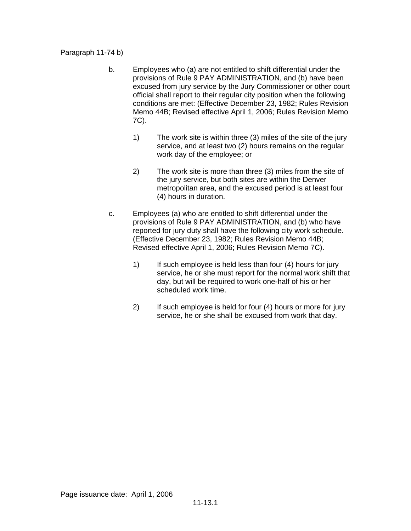Paragraph 11-74 b)

- b. Employees who (a) are not entitled to shift differential under the provisions of Rule 9 PAY ADMINISTRATION, and (b) have been excused from jury service by the Jury Commissioner or other court official shall report to their regular city position when the following conditions are met: (Effective December 23, 1982; Rules Revision Memo 44B; Revised effective April 1, 2006; Rules Revision Memo 7C).
	- 1) The work site is within three (3) miles of the site of the jury service, and at least two (2) hours remains on the regular work day of the employee; or
	- 2) The work site is more than three (3) miles from the site of the jury service, but both sites are within the Denver metropolitan area, and the excused period is at least four (4) hours in duration.
- c. Employees (a) who are entitled to shift differential under the provisions of Rule 9 PAY ADMINISTRATION, and (b) who have reported for jury duty shall have the following city work schedule. (Effective December 23, 1982; Rules Revision Memo 44B; Revised effective April 1, 2006; Rules Revision Memo 7C).
	- 1) If such employee is held less than four (4) hours for jury service, he or she must report for the normal work shift that day, but will be required to work one-half of his or her scheduled work time.
	- 2) If such employee is held for four (4) hours or more for jury service, he or she shall be excused from work that day.